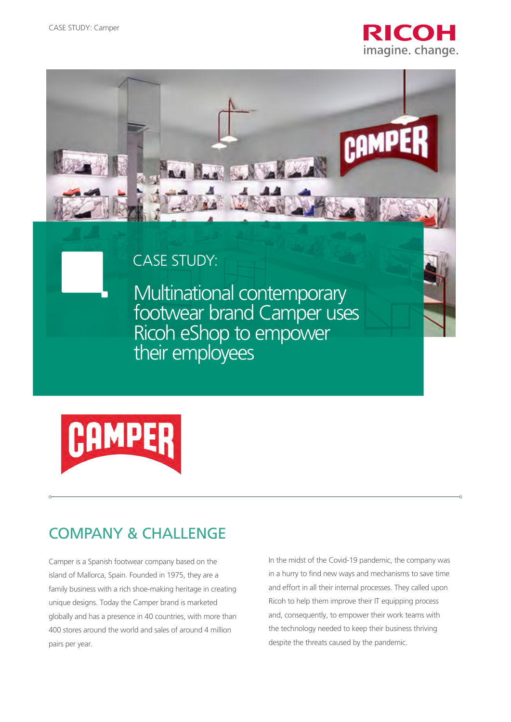



## CASE STUDY:

Multinational contemporary footwear brand Camper uses Ricoh eShop to empower their employees



# COMPANY & CHALLENGE

Camper is a Spanish footwear company based on the island of Mallorca, Spain. Founded in 1975, they are a family business with a rich shoe-making heritage in creating unique designs. Today the Camper brand is marketed globally and has a presence in 40 countries, with more than 400 stores around the world and sales of around 4 million pairs per year.

In the midst of the Covid-19 pandemic, the company was in a hurry to find new ways and mechanisms to save time and effort in all their internal processes. They called upon Ricoh to help them improve their IT equipping process and, consequently, to empower their work teams with the technology needed to keep their business thriving despite the threats caused by the pandemic.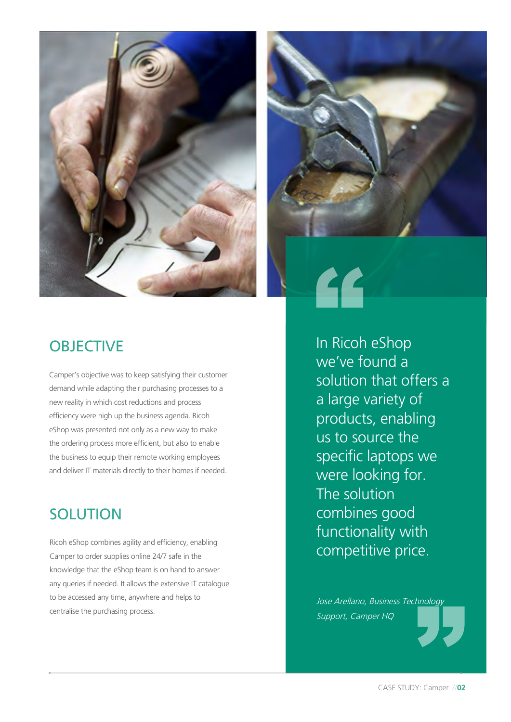



44

## **OBJECTIVE**

Camper's objective was to keep satisfying their customer demand while adapting their purchasing processes to a new reality in which cost reductions and process efficiency were high up the business agenda. Ricoh eShop was presented not only as a new way to make the ordering process more efficient, but also to enable the business to equip their remote working employees and deliver IT materials directly to their homes if needed.

## **SOLUTION**

Ricoh eShop combines agility and efficiency, enabling Camper to order supplies online 24/7 safe in the knowledge that the eShop team is on hand to answer any queries if needed. It allows the extensive IT catalogue to be accessed any time, anywhere and helps to centralise the purchasing process.

In Ricoh eShop we've found a solution that offers a a large variety of products, enabling us to source the specific laptops we were looking for. The solution combines good functionality with competitive price.

Jose Arellano, Business Technology Support, Camper HQ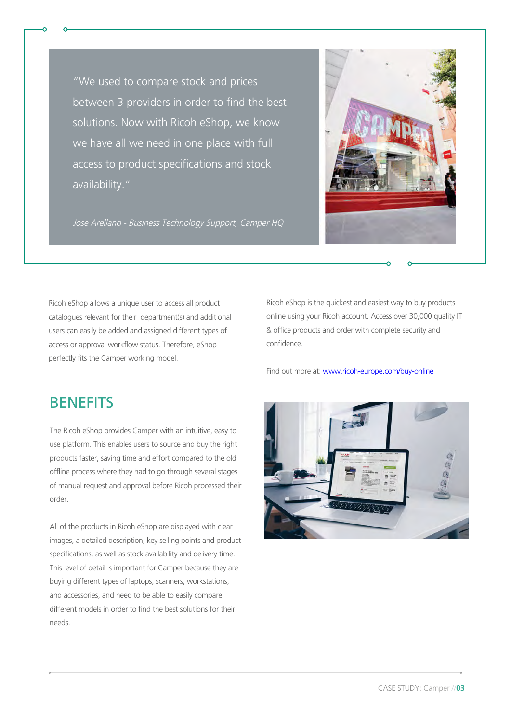"We used to compare stock and prices between 3 providers in order to find the best solutions. Now with Ricoh eShop, we know we have all we need in one place with full access to product specifications and stock availability."



Jose Arellano - Business Technology Support, Camper HQ

Ricoh eShop allows a unique user to access all product catalogues relevant for their department(s) and additional users can easily be added and assigned different types of access or approval workflow status. Therefore, eShop perfectly fits the Camper working model.

Ricoh eShop is the quickest and easiest way to buy products online using your Ricoh account. Access over 30,000 quality IT & office products and order with complete security and confidence.

Find out more at:<www.ricoh-europe.com/buy-online>

#### **BENEFITS**

The Ricoh eShop provides Camper with an intuitive, easy to use platform. This enables users to source and buy the right products faster, saving time and effort compared to the old offline process where they had to go through several stages of manual request and approval before Ricoh processed their order.

All of the products in Ricoh eShop are displayed with clear images, a detailed description, key selling points and product specifications, as well as stock availability and delivery time. This level of detail is important for Camper because they are buying different types of laptops, scanners, workstations, and accessories, and need to be able to easily compare different models in order to find the best solutions for their needs.